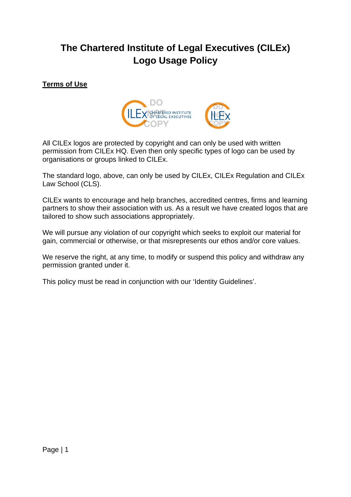# **The Chartered Institute of Legal Executives (CILEx) Logo Usage Policy**

# **Terms of Use**



All CILEx logos are protected by copyright and can only be used with written permission from CILEx HQ. Even then only specific types of logo can be used by organisations or groups linked to CILEx.

The standard logo, above, can only be used by CILEx, CILEx Regulation and CILEx Law School (CLS).

CILEx wants to encourage and help branches, accredited centres, firms and learning partners to show their association with us. As a result we have created logos that are tailored to show such associations appropriately.

We will pursue any violation of our copyright which seeks to exploit our material for gain, commercial or otherwise, or that misrepresents our ethos and/or core values.

We reserve the right, at any time, to modify or suspend this policy and withdraw any permission granted under it.

This policy must be read in conjunction with our 'Identity Guidelines'.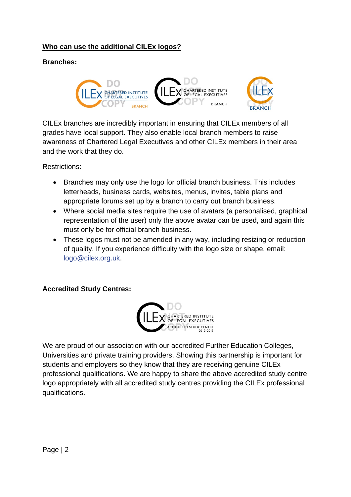# **Who can use the additional CILEx logos?**

# **Branches:**



CILEx branches are incredibly important in ensuring that CILEx members of all grades have local support. They also enable local branch members to raise awareness of Chartered Legal Executives and other CILEx members in their area and the work that they do.

Restrictions:

- Branches may only use the logo for official branch business. This includes letterheads, business cards, websites, menus, invites, table plans and appropriate forums set up by a branch to carry out branch business.
- Where social media sites require the use of avatars (a personalised, graphical representation of the user) only the above avatar can be used, and again this must only be for official branch business.
- These logos must not be amended in any way, including resizing or reduction of quality. If you experience difficulty with the logo size or shape, email: logo@cilex.org.uk.

## **Accredited Study Centres:**



We are proud of our association with our accredited Further Education Colleges, Universities and private training providers. Showing this partnership is important for students and employers so they know that they are receiving genuine CILEx professional qualifications. We are happy to share the above accredited study centre logo appropriately with all accredited study centres providing the CILEx professional qualifications.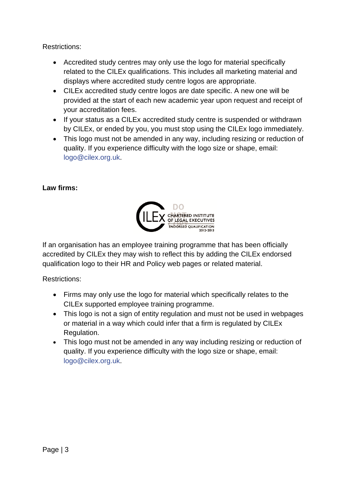Restrictions:

- Accredited study centres may only use the logo for material specifically related to the CILEx qualifications. This includes all marketing material and displays where accredited study centre logos are appropriate.
- CILEx accredited study centre logos are date specific. A new one will be provided at the start of each new academic year upon request and receipt of your accreditation fees.
- If your status as a CILEx accredited study centre is suspended or withdrawn by CILEx, or ended by you, you must stop using the CILEx logo immediately.
- This logo must not be amended in any way, including resizing or reduction of quality. If you experience difficulty with the logo size or shape, email: logo@cilex.org.uk.

# **Law firms:**



If an organisation has an employee training programme that has been officially accredited by CILEx they may wish to reflect this by adding the CILEx endorsed qualification logo to their HR and Policy web pages or related material.

Restrictions:

- Firms may only use the logo for material which specifically relates to the CILEx supported employee training programme.
- This logo is not a sign of entity regulation and must not be used in webpages or material in a way which could infer that a firm is regulated by CILEx Regulation.
- This logo must not be amended in any way including resizing or reduction of quality. If you experience difficulty with the logo size or shape, email: logo@cilex.org.uk.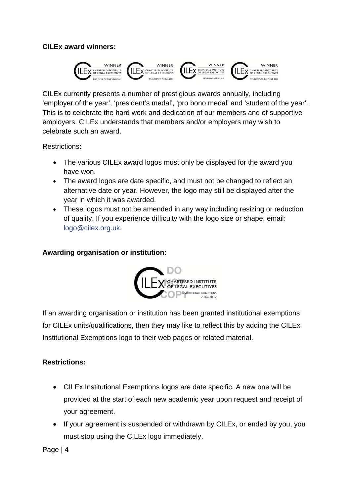### **CILEx award winners:**



CILEx currently presents a number of prestigious awards annually, including 'employer of the year', 'president's medal', 'pro bono medal' and 'student of the year'. This is to celebrate the hard work and dedication of our members and of supportive employers. CILEx understands that members and/or employers may wish to celebrate such an award.

Restrictions:

- The various CILEx award logos must only be displayed for the award you have won.
- The award logos are date specific, and must not be changed to reflect an alternative date or year. However, the logo may still be displayed after the year in which it was awarded.
- These logos must not be amended in any way including resizing or reduction of quality. If you experience difficulty with the logo size or shape, email: logo@cilex.org.uk.

### **Awarding organisation or institution:**



If an awarding organisation or institution has been granted institutional exemptions for CILEx units/qualifications, then they may like to reflect this by adding the CILEx Institutional Exemptions logo to their web pages or related material.

## **Restrictions:**

- CILEx Institutional Exemptions logos are date specific. A new one will be provided at the start of each new academic year upon request and receipt of your agreement.
- If your agreement is suspended or withdrawn by CILEx, or ended by you, you must stop using the CILEx logo immediately.

Page | 4